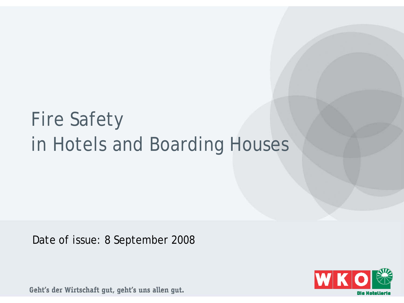# Fire Safety in Hotels and Boarding Houses

Date of issue: 8 September 2008

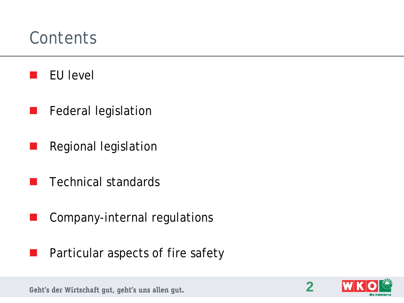#### **Contents**

- EU level
- Federal legislation
- Regional legislation
- Technical standards
- Company-internal regulations
- Particular aspects of fire safety



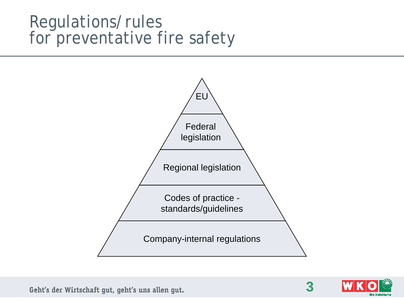#### Regulations/rules for preventative fire safety





**3**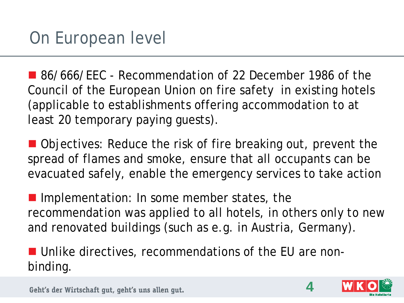■ 86/666/EEC - Recommendation of 22 December 1986 of the Council of the European Union on fire safety in existing hotels (applicable to establishments offering accommodation to at least 20 temporary paying guests).

■ Objectives: Reduce the risk of fire breaking out, prevent the spread of flames and smoke, ensure that all occupants can be evacuated safely, enable the emergency services to take action

Implementation: In some member states, the recommendation was applied to all hotels, in others only to new and renovated buildings (such as e.g. in Austria, Germany).

■ Unlike directives, recommendations of the EU are nonbinding.



**4**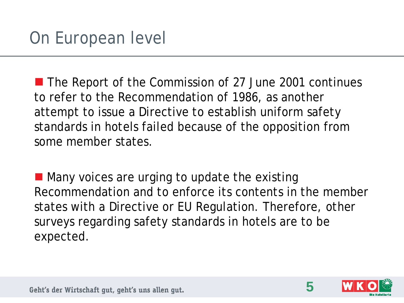■ The Report of the Commission of 27 June 2001 continues to refer to the Recommendation of 1986, as another attempt to issue a Directive to establish uniform safety standards in hotels failed because of the opposition from some member states.

 $\blacksquare$  Many voices are urging to update the existing Recommendation and to enforce its contents in the member states with a Directive or EU Regulation. Therefore, other surveys regarding safety standards in hotels are to be expected.



**5**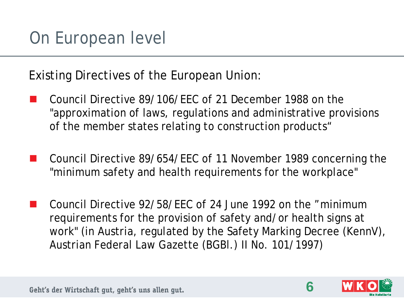Existing Directives of the European Union:

- Council Directive 89/106/EEC of 21 December 1988 on the "approximation of laws, regulations and administrative provisions of the member states relating to construction products"
- Council Directive 89/654/EEC of 11 November 1989 concerning the "minimum safety and health requirements for the workplace"
- Council Directive 92/58/EEC of 24 June 1992 on the "minimum requirements for the provision of safety and/or health signs at work" (in Austria, regulated by the Safety Marking Decree (KennV), Austrian Federal Law Gazette (BGBl.) II No. 101/1997)



**6**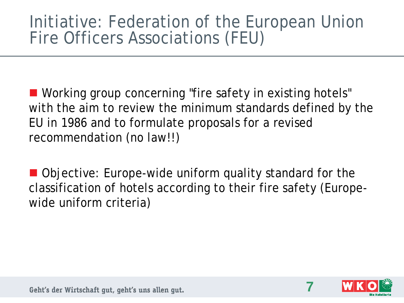#### Initiative: Federation of the European Union Fire Officers Associations (FEU)

■ Working group concerning "fire safety in existing hotels" with the aim to review the minimum standards defined by the EU in 1986 and to formulate proposals for a revised recommendation (no law!!)

■ Objective: Europe-wide uniform quality standard for the classification of hotels according to their fire safety (Europewide uniform criteria)



**7**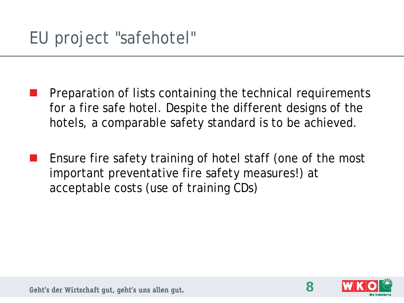- Preparation of lists containing the technical requirements for a fire safe hotel. Despite the different designs of the hotels, a comparable safety standard is to be achieved.
- Ensure fire safety training of hotel staff (one of the most important preventative fire safety measures!) at acceptable costs (use of training CDs)



**8**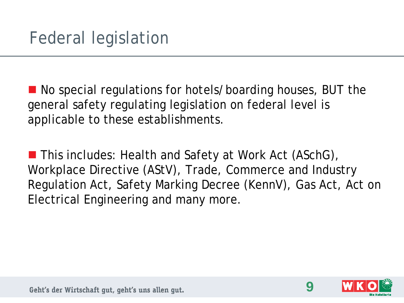■ No special regulations for hotels/boarding houses, BUT the general safety regulating legislation on federal level is applicable to these establishments.

■ This includes: Health and Safety at Work Act (ASchG), Workplace Directive (AStV), Trade, Commerce and Industry Regulation Act, Safety Marking Decree (KennV), Gas Act, Act on Electrical Engineering and many more.



**9**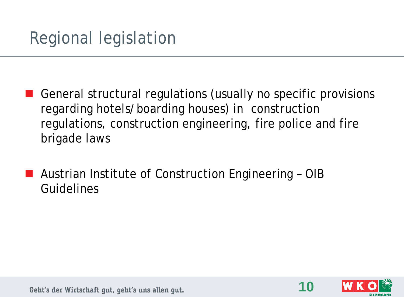- General structural regulations (usually no specific provisions regarding hotels/boarding houses) in construction regulations, construction engineering, fire police and fire brigade laws
- Austrian Institute of Construction Engineering OIB Guidelines

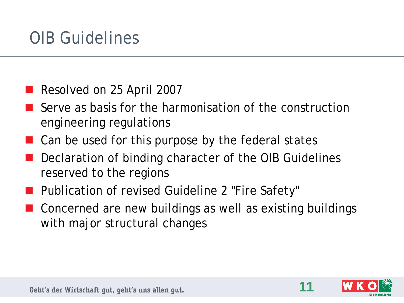# OIB Guidelines

- Resolved on 25 April 2007
- Serve as basis for the harmonisation of the construction engineering regulations
- Can be used for this purpose by the federal states
- Declaration of binding character of the OIB Guidelines reserved to the regions
- Publication of revised Guideline 2 "Fire Safety"
- Concerned are new buildings as well as existing buildings with major structural changes



**11**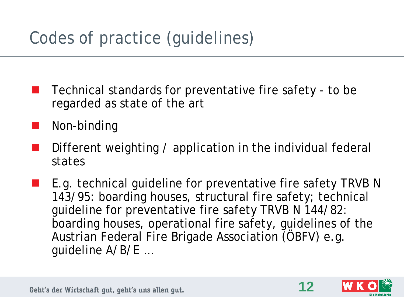# Codes of practice (guidelines)

- Technical standards for preventative fire safety to be regarded as state of the art
- Non-binding
- Different weighting / application in the individual federal states
- $\blacksquare$  E.g. technical guideline for preventative fire safety TRVB N 143/95: boarding houses, structural fire safety; technical guideline for preventative fire safety TRVB N 144/82: boarding houses, operational fire safety, guidelines of the Austrian Federal Fire Brigade Association (ÖBFV) e.g. guideline A/B/E …



**12**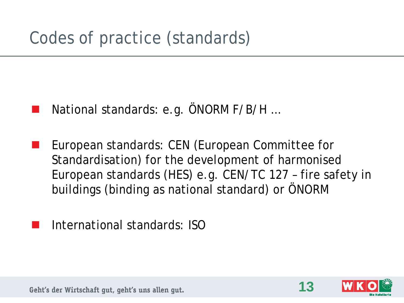- National standards: e.g. ÖNORM F/B/H …
- European standards: CEN (European Committee for Standardisation) for the development of harmonised European standards (HES) e.g. CEN/TC 127 – fire safety in buildings (binding as national standard) or ÖNORM
- International standards: ISO

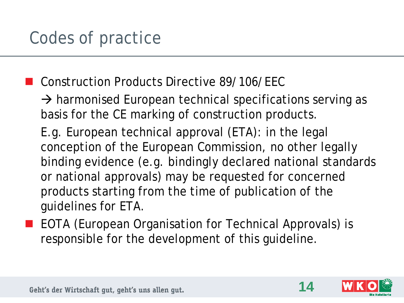**Construction Products Directive 89/106/FFC** 

 $\rightarrow$  harmonised European technical specifications serving as basis for the CE marking of construction products.

E.g. European technical approval (ETA): in the legal conception of the European Commission, no other legally binding evidence (e.g. bindingly declared national standards or national approvals) may be requested for concerned products starting from the time of publication of the guidelines for ETA.

**EXTEDTA (European Organisation for Technical Approvals) is** responsible for the development of this guideline.



**14**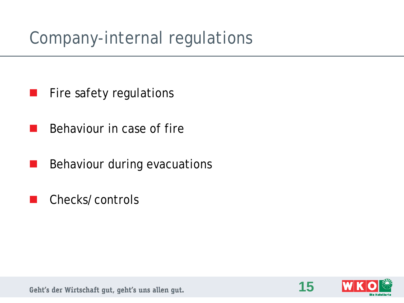# Company-internal regulations

- Fire safety regulations
- Behaviour in case of fire
- Behaviour during evacuations
- Checks/controls

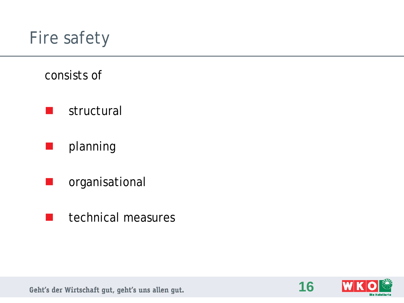## Fire safety

#### consists of

- **Structural**
- planning
- organisational
- $\blacksquare$  technical measures

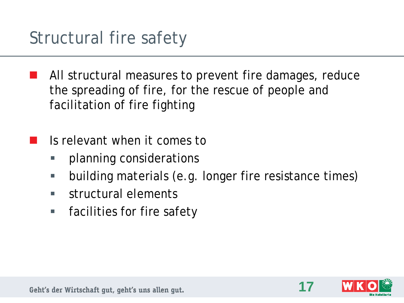- All structural measures to prevent fire damages, reduce the spreading of fire, for the rescue of people and facilitation of fire fighting
- Is relevant when it comes to
	- planning considerations
	- building materials (e.g. longer fire resistance times)
	- **structural elements**
	- **Figmeral Filte Safety**

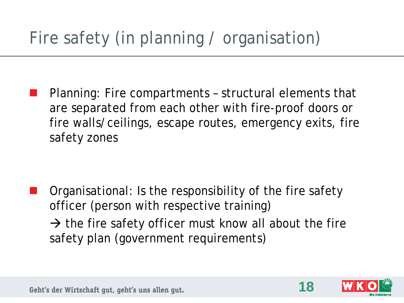# Fire safety (in planning / organisation)

 Planning: Fire compartments – structural elements that are separated from each other with fire-proof doors or fire walls/ceilings, escape routes, emergency exits, fire safety zones

 Organisational: Is the responsibility of the fire safety officer (person with respective training)  $\rightarrow$  the fire safety officer must know all about the fire safety plan (government requirements)



**18**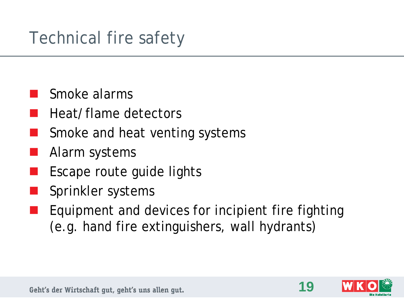# Technical fire safety

- Smoke alarms
- Heat/flame detectors
- Smoke and heat venting systems
- Alarm systems
- Escape route guide lights
- Sprinkler systems
- Equipment and devices for incipient fire fighting (e.g. hand fire extinguishers, wall hydrants)



**19**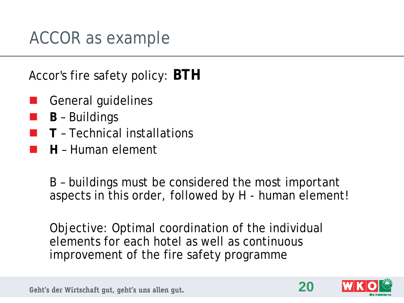## ACCOR as example

Accor's fire safety policy: **BTH**

- General guidelines
- **B** Buildings
- **T** Technical installations
- **H** Human element

B – buildings must be considered the most important aspects in this order, followed by H - human element!

Objective: Optimal coordination of the individual elements for each hotel as well as continuous improvement of the fire safety programme



**20**